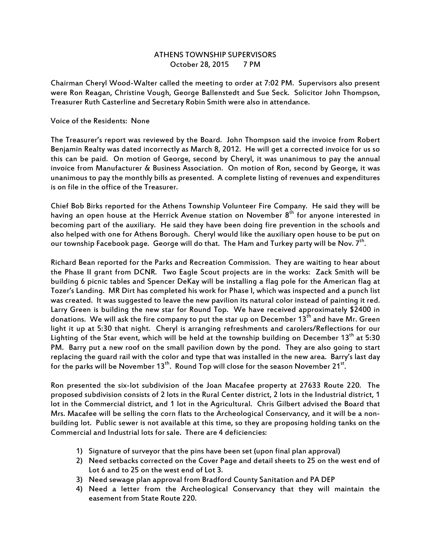## ATHENS TOWNSHIP SUPERVISORS October 28, 2015 7 PM

Chairman Cheryl Wood-Walter called the meeting to order at 7:02 PM. Supervisors also present were Ron Reagan, Christine Vough, George Ballenstedt and Sue Seck. Solicitor John Thompson, Treasurer Ruth Casterline and Secretary Robin Smith were also in attendance.

## Voice of the Residents: None

The Treasurer's report was reviewed by the Board. John Thompson said the invoice from Robert Benjamin Realty was dated incorrectly as March 8, 2012. He will get a corrected invoice for us so this can be paid. On motion of George, second by Cheryl, it was unanimous to pay the annual invoice from Manufacturer & Business Association. On motion of Ron, second by George, it was unanimous to pay the monthly bills as presented. A complete listing of revenues and expenditures is on file in the office of the Treasurer.

Chief Bob Birks reported for the Athens Township Volunteer Fire Company. He said they will be having an open house at the Herrick Avenue station on November  $8^{th}$  for anyone interested in becoming part of the auxiliary. He said they have been doing fire prevention in the schools and also helped with one for Athens Borough. Cheryl would like the auxiliary open house to be put on our township Facebook page. George will do that. The Ham and Turkey party will be Nov. 7<sup>th</sup>.

Richard Bean reported for the Parks and Recreation Commission. They are waiting to hear about the Phase II grant from DCNR. Two Eagle Scout projects are in the works: Zack Smith will be building 6 picnic tables and Spencer DeKay will be installing a flag pole for the American flag at Tozer's Landing. MR Dirt has completed his work for Phase I, which was inspected and a punch list was created. It was suggested to leave the new pavilion its natural color instead of painting it red. Larry Green is building the new star for Round Top. We have received approximately \$2400 in donations. We will ask the fire company to put the star up on December 13<sup>th</sup> and have Mr. Green light it up at 5:30 that night. Cheryl is arranging refreshments and carolers/Reflections for our Lighting of the Star event, which will be held at the township building on December  $13^{th}$  at 5:30 PM. Barry put a new roof on the small pavilion down by the pond. They are also going to start replacing the guard rail with the color and type that was installed in the new area. Barry's last day for the parks will be November 13<sup>th</sup>. Round Top will close for the season November 21<sup>st</sup>.

Ron presented the six-lot subdivision of the Joan Macafee property at 27633 Route 220. The proposed subdivision consists of 2 lots in the Rural Center district, 2 lots in the Industrial district, 1 lot in the Commercial district, and 1 lot in the Agricultural. Chris Gilbert advised the Board that Mrs. Macafee will be selling the corn flats to the Archeological Conservancy, and it will be a nonbuilding lot. Public sewer is not available at this time, so they are proposing holding tanks on the Commercial and Industrial lots for sale. There are 4 deficiencies:

- 1) Signature of surveyor that the pins have been set (upon final plan approval)
- 2) Need setbacks corrected on the Cover Page and detail sheets to 25 on the west end of Lot 6 and to 25 on the west end of Lot 3.
- 3) Need sewage plan approval from Bradford County Sanitation and PA DEP
- 4) Need a letter from the Archeological Conservancy that they will maintain the easement from State Route 220.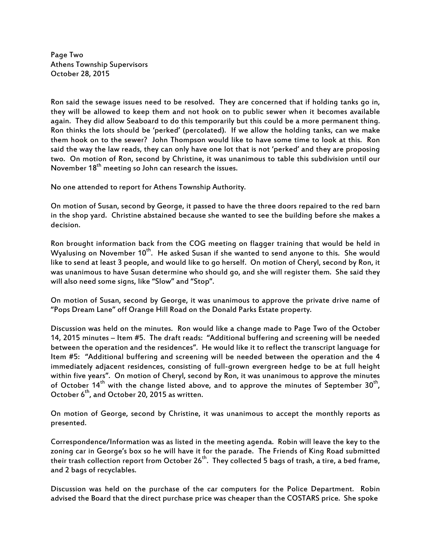Page Two Athens Township Supervisors October 28, 2015

Ron said the sewage issues need to be resolved. They are concerned that if holding tanks go in, they will be allowed to keep them and not hook on to public sewer when it becomes available again. They did allow Seaboard to do this temporarily but this could be a more permanent thing. Ron thinks the lots should be 'perked' (percolated). If we allow the holding tanks, can we make them hook on to the sewer? John Thompson would like to have some time to look at this. Ron said the way the law reads, they can only have one lot that is not 'perked' and they are proposing two. On motion of Ron, second by Christine, it was unanimous to table this subdivision until our November  $18<sup>th</sup>$  meeting so John can research the issues.

No one attended to report for Athens Township Authority.

On motion of Susan, second by George, it passed to have the three doors repaired to the red barn in the shop yard. Christine abstained because she wanted to see the building before she makes a decision.

Ron brought information back from the COG meeting on flagger training that would be held in Wyalusing on November  $10^{th}$ . He asked Susan if she wanted to send anyone to this. She would like to send at least 3 people, and would like to go herself. On motion of Cheryl, second by Ron, it was unanimous to have Susan determine who should go, and she will register them. She said they will also need some signs, like "Slow" and "Stop".

On motion of Susan, second by George, it was unanimous to approve the private drive name of "Pops Dream Lane" off Orange Hill Road on the Donald Parks Estate property.

Discussion was held on the minutes. Ron would like a change made to Page Two of the October 14, 2015 minutes – Item #5. The draft reads: "Additional buffering and screening will be needed between the operation and the residences". He would like it to reflect the transcript language for Item #5: "Additional buffering and screening will be needed between the operation and the 4 immediately adjacent residences, consisting of full-grown evergreen hedge to be at full height within five years". On motion of Cheryl, second by Ron, it was unanimous to approve the minutes of October  $14<sup>th</sup>$  with the change listed above, and to approve the minutes of September  $30<sup>th</sup>$ , October 6<sup>th</sup>, and October 20, 2015 as written.

On motion of George, second by Christine, it was unanimous to accept the monthly reports as presented.

Correspondence/Information was as listed in the meeting agenda. Robin will leave the key to the zoning car in George's box so he will have it for the parade. The Friends of King Road submitted their trash collection report from October  $26<sup>th</sup>$ . They collected 5 bags of trash, a tire, a bed frame, and 2 bags of recyclables.

Discussion was held on the purchase of the car computers for the Police Department. Robin advised the Board that the direct purchase price was cheaper than the COSTARS price. She spoke